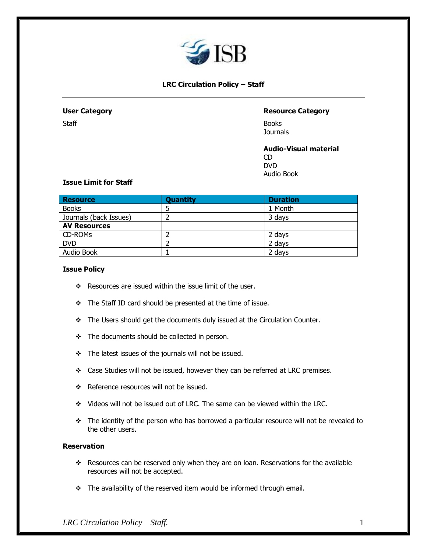

# **LRC Circulation Policy – Staff**

# **User Category Resource Category**

Staff Books **Journals** 

> **Audio-Visual material** CD DVD Audio Book

# **Issue Limit for Staff**

| <b>Resource</b>        | <b>Quantity</b> | <b>Duration</b> |
|------------------------|-----------------|-----------------|
| <b>Books</b>           |                 | 1 Month         |
| Journals (back Issues) |                 | 3 days          |
| <b>AV Resources</b>    |                 |                 |
| CD-ROMs                |                 | 2 days          |
| <b>DVD</b>             |                 | 2 days          |
| Audio Book             |                 | 2 days          |

# **Issue Policy**

- ❖ Resources are issued within the issue limit of the user.
- ❖ The Staff ID card should be presented at the time of issue.
- ❖ The Users should get the documents duly issued at the Circulation Counter.
- ❖ The documents should be collected in person.
- ❖ The latest issues of the journals will not be issued.
- ❖ Case Studies will not be issued, however they can be referred at LRC premises.
- ❖ Reference resources will not be issued.
- ❖ Videos will not be issued out of LRC. The same can be viewed within the LRC.
- ❖ The identity of the person who has borrowed a particular resource will not be revealed to the other users.

# **Reservation**

- ❖ Resources can be reserved only when they are on loan. Reservations for the available resources will not be accepted.
- ❖ The availability of the reserved item would be informed through email.